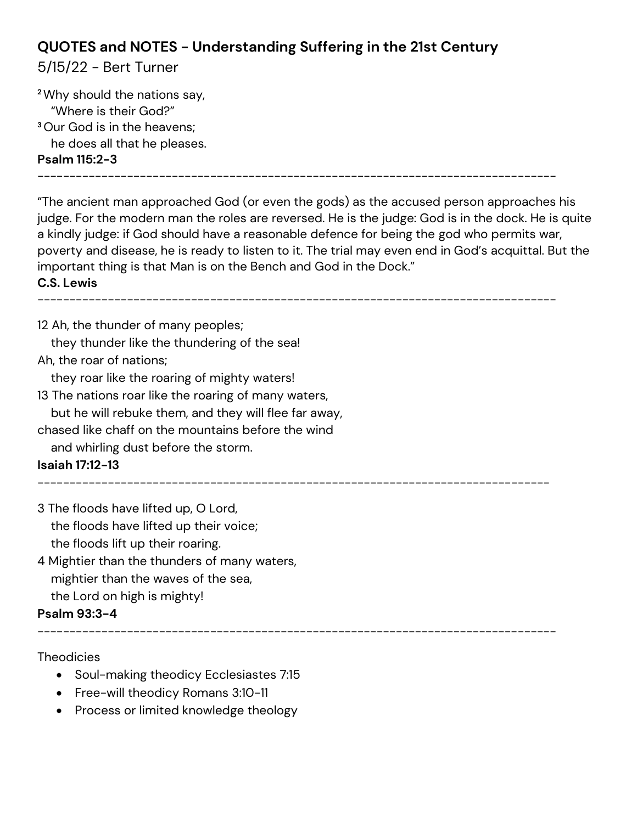# **QUOTES and NOTES - Understanding Suffering in the 21st Century**

### 5/15/22 - Bert Turner

**<sup>2</sup>**Why should the nations say, "Where is their God?" **<sup>3</sup>**Our God is in the heavens; he does all that he pleases. **Psalm 115:2-3**

---------------------------------------------------------------------------------

"The ancient man approached God (or even the gods) as the accused person approaches his judge. For the modern man the roles are reversed. He is the judge: God is in the dock. He is quite a kindly judge: if God should have a reasonable defence for being the god who permits war, poverty and disease, he is ready to listen to it. The trial may even end in God's acquittal. But the important thing is that Man is on the Bench and God in the Dock."

#### **C.S. Lewis**

---------------------------------------------------------------------------------

12 Ah, the thunder of many peoples;

they thunder like the thundering of the sea!

Ah, the roar of nations;

they roar like the roaring of mighty waters!

13 The nations roar like the roaring of many waters,

but he will rebuke them, and they will flee far away,

chased like chaff on the mountains before the wind

and whirling dust before the storm.

### **Isaiah 17:12-13**

--------------------------------------------------------------------------------

---------------------------------------------------------------------------------

3 The floods have lifted up, O Lord, the floods have lifted up their voice;

the floods lift up their roaring.

4 Mightier than the thunders of many waters, mightier than the waves of the sea, the Lord on high is mighty!

#### **Psalm 93:3-4**

**Theodicies** 

- Soul-making theodicy Ecclesiastes 7:15
- Free-will theodicy Romans 3:10-11
- Process or limited knowledge theology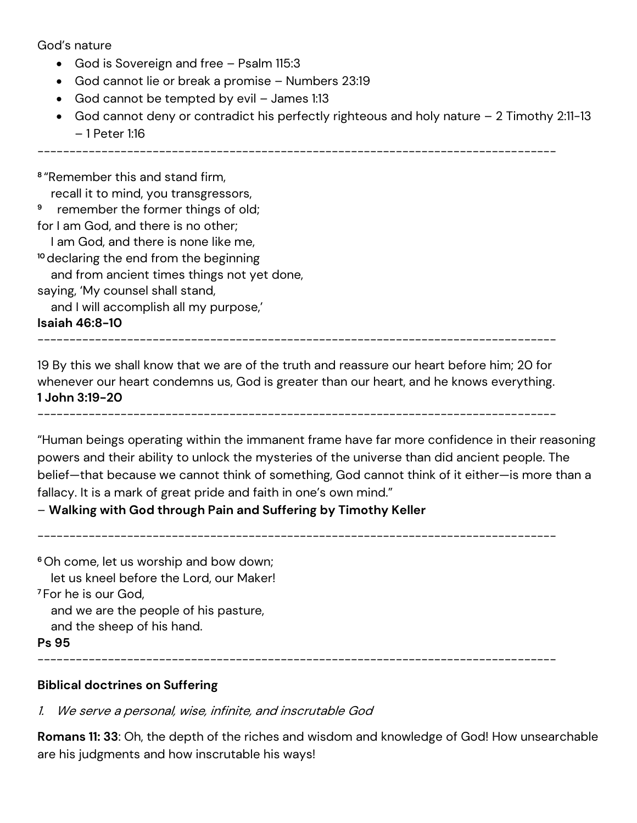God's nature

- God is Sovereign and free Psalm 115:3
- God cannot lie or break a promise Numbers 23:19
- God cannot be tempted by evil James 1:13
- God cannot deny or contradict his perfectly righteous and holy nature 2 Timothy 2:11-13 – 1 Peter 1:16

---------------------------------------------------------------------------------

**8** "Remember this and stand firm, recall it to mind, you transgressors, **9** remember the former things of old; for I am God, and there is no other; I am God, and there is none like me, **<sup>10</sup>** declaring the end from the beginning and from ancient times things not yet done, saying, 'My counsel shall stand, and I will accomplish all my purpose,'

**Isaiah 46:8-10**

---------------------------------------------------------------------------------

19 By this we shall know that we are of the truth and reassure our heart before him; 20 for whenever our heart condemns us, God is greater than our heart, and he knows everything. **1 John 3:19-20**

---------------------------------------------------------------------------------

"Human beings operating within the immanent frame have far more confidence in their reasoning powers and their ability to unlock the mysteries of the universe than did ancient people. The belief—that because we cannot think of something, God cannot think of it either—is more than a fallacy. It is a mark of great pride and faith in one's own mind."

#### – **Walking with God through Pain and Suffering by Timothy Keller**

---------------------------------------------------------------------------------

**<sup>6</sup>**Oh come, let us worship and bow down; let us kneel before the Lord, our Maker! **<sup>7</sup>** For he is our God, and we are the people of his pasture, and the sheep of his hand. **Ps 95**

---------------------------------------------------------------------------------

#### **Biblical doctrines on Suffering**

1. We serve a personal, wise, infinite, and inscrutable God

**Romans 11: 33**: Oh, the depth of the riches and wisdom and knowledge of God! How unsearchable are his judgments and how inscrutable his ways!